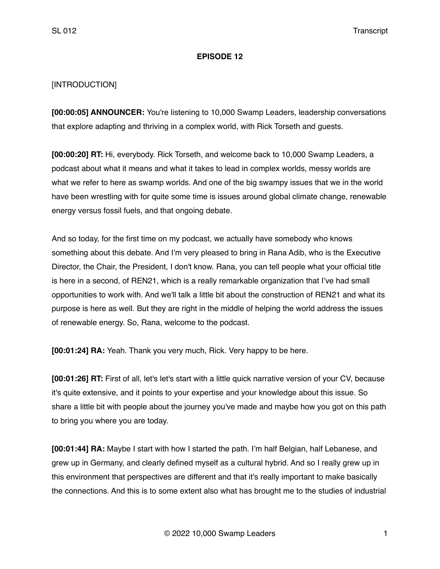## **EPISODE 12**

## [INTRODUCTION]

**[00:00:05] ANNOUNCER:** You're listening to 10,000 Swamp Leaders, leadership conversations that explore adapting and thriving in a complex world, with Rick Torseth and guests.

**[00:00:20] RT:** Hi, everybody. Rick Torseth, and welcome back to 10,000 Swamp Leaders, a podcast about what it means and what it takes to lead in complex worlds, messy worlds are what we refer to here as swamp worlds. And one of the big swampy issues that we in the world have been wrestling with for quite some time is issues around global climate change, renewable energy versus fossil fuels, and that ongoing debate.

And so today, for the first time on my podcast, we actually have somebody who knows something about this debate. And I'm very pleased to bring in Rana Adib, who is the Executive Director, the Chair, the President, I don't know. Rana, you can tell people what your official title is here in a second, of REN21, which is a really remarkable organization that I've had small opportunities to work with. And we'll talk a little bit about the construction of REN21 and what its purpose is here as well. But they are right in the middle of helping the world address the issues of renewable energy. So, Rana, welcome to the podcast.

**[00:01:24] RA:** Yeah. Thank you very much, Rick. Very happy to be here.

**[00:01:26] RT:** First of all, let's let's start with a little quick narrative version of your CV, because it's quite extensive, and it points to your expertise and your knowledge about this issue. So share a little bit with people about the journey you've made and maybe how you got on this path to bring you where you are today.

**[00:01:44] RA:** Maybe I start with how I started the path. I'm half Belgian, half Lebanese, and grew up in Germany, and clearly defined myself as a cultural hybrid. And so I really grew up in this environment that perspectives are different and that it's really important to make basically the connections. And this is to some extent also what has brought me to the studies of industrial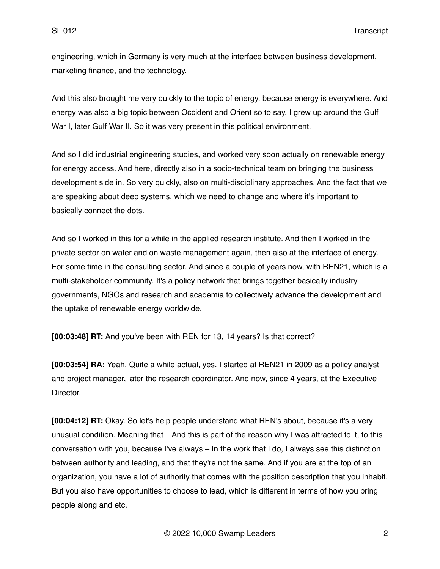engineering, which in Germany is very much at the interface between business development, marketing finance, and the technology.

And this also brought me very quickly to the topic of energy, because energy is everywhere. And energy was also a big topic between Occident and Orient so to say. I grew up around the Gulf War I, later Gulf War II. So it was very present in this political environment.

And so I did industrial engineering studies, and worked very soon actually on renewable energy for energy access. And here, directly also in a socio-technical team on bringing the business development side in. So very quickly, also on multi-disciplinary approaches. And the fact that we are speaking about deep systems, which we need to change and where it's important to basically connect the dots.

And so I worked in this for a while in the applied research institute. And then I worked in the private sector on water and on waste management again, then also at the interface of energy. For some time in the consulting sector. And since a couple of years now, with REN21, which is a multi-stakeholder community. It's a policy network that brings together basically industry governments, NGOs and research and academia to collectively advance the development and the uptake of renewable energy worldwide.

**[00:03:48] RT:** And you've been with REN for 13, 14 years? Is that correct?

**[00:03:54] RA:** Yeah. Quite a while actual, yes. I started at REN21 in 2009 as a policy analyst and project manager, later the research coordinator. And now, since 4 years, at the Executive Director.

**[00:04:12] RT:** Okay. So let's help people understand what REN's about, because it's a very unusual condition. Meaning that – And this is part of the reason why I was attracted to it, to this conversation with you, because I've always – In the work that I do, I always see this distinction between authority and leading, and that they're not the same. And if you are at the top of an organization, you have a lot of authority that comes with the position description that you inhabit. But you also have opportunities to choose to lead, which is different in terms of how you bring people along and etc.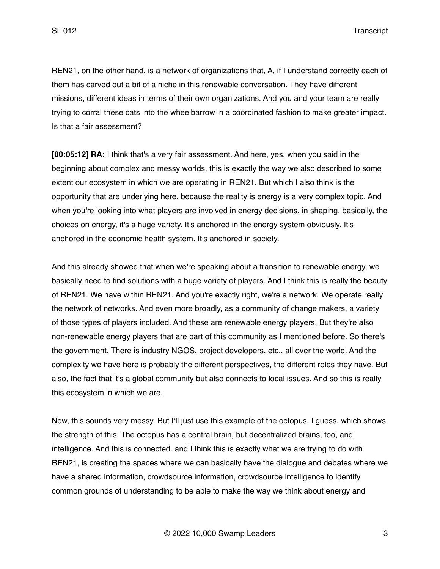REN21, on the other hand, is a network of organizations that, A, if I understand correctly each of them has carved out a bit of a niche in this renewable conversation. They have different missions, different ideas in terms of their own organizations. And you and your team are really trying to corral these cats into the wheelbarrow in a coordinated fashion to make greater impact. Is that a fair assessment?

**[00:05:12] RA:** I think that's a very fair assessment. And here, yes, when you said in the beginning about complex and messy worlds, this is exactly the way we also described to some extent our ecosystem in which we are operating in REN21. But which I also think is the opportunity that are underlying here, because the reality is energy is a very complex topic. And when you're looking into what players are involved in energy decisions, in shaping, basically, the choices on energy, it's a huge variety. It's anchored in the energy system obviously. It's anchored in the economic health system. It's anchored in society.

And this already showed that when we're speaking about a transition to renewable energy, we basically need to find solutions with a huge variety of players. And I think this is really the beauty of REN21. We have within REN21. And you're exactly right, we're a network. We operate really the network of networks. And even more broadly, as a community of change makers, a variety of those types of players included. And these are renewable energy players. But they're also non-renewable energy players that are part of this community as I mentioned before. So there's the government. There is industry NGOS, project developers, etc., all over the world. And the complexity we have here is probably the different perspectives, the different roles they have. But also, the fact that it's a global community but also connects to local issues. And so this is really this ecosystem in which we are.

Now, this sounds very messy. But I'll just use this example of the octopus, I guess, which shows the strength of this. The octopus has a central brain, but decentralized brains, too, and intelligence. And this is connected. and I think this is exactly what we are trying to do with REN21, is creating the spaces where we can basically have the dialogue and debates where we have a shared information, crowdsource information, crowdsource intelligence to identify common grounds of understanding to be able to make the way we think about energy and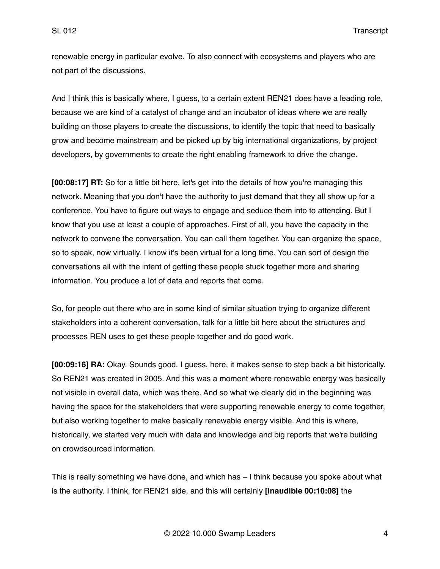renewable energy in particular evolve. To also connect with ecosystems and players who are not part of the discussions.

And I think this is basically where, I guess, to a certain extent REN21 does have a leading role, because we are kind of a catalyst of change and an incubator of ideas where we are really building on those players to create the discussions, to identify the topic that need to basically grow and become mainstream and be picked up by big international organizations, by project developers, by governments to create the right enabling framework to drive the change.

**[00:08:17] RT:** So for a little bit here, let's get into the details of how you're managing this network. Meaning that you don't have the authority to just demand that they all show up for a conference. You have to figure out ways to engage and seduce them into to attending. But I know that you use at least a couple of approaches. First of all, you have the capacity in the network to convene the conversation. You can call them together. You can organize the space, so to speak, now virtually. I know it's been virtual for a long time. You can sort of design the conversations all with the intent of getting these people stuck together more and sharing information. You produce a lot of data and reports that come.

So, for people out there who are in some kind of similar situation trying to organize different stakeholders into a coherent conversation, talk for a little bit here about the structures and processes REN uses to get these people together and do good work.

**[00:09:16] RA:** Okay. Sounds good. I guess, here, it makes sense to step back a bit historically. So REN21 was created in 2005. And this was a moment where renewable energy was basically not visible in overall data, which was there. And so what we clearly did in the beginning was having the space for the stakeholders that were supporting renewable energy to come together, but also working together to make basically renewable energy visible. And this is where, historically, we started very much with data and knowledge and big reports that we're building on crowdsourced information.

This is really something we have done, and which has – I think because you spoke about what is the authority. I think, for REN21 side, and this will certainly **[inaudible 00:10:08]** the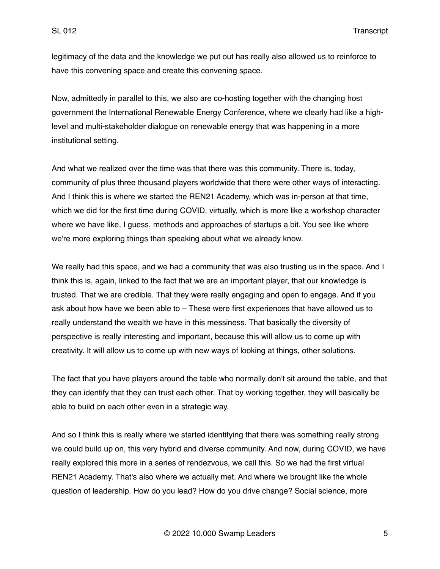legitimacy of the data and the knowledge we put out has really also allowed us to reinforce to have this convening space and create this convening space.

Now, admittedly in parallel to this, we also are co-hosting together with the changing host government the International Renewable Energy Conference, where we clearly had like a highlevel and multi-stakeholder dialogue on renewable energy that was happening in a more institutional setting.

And what we realized over the time was that there was this community. There is, today, community of plus three thousand players worldwide that there were other ways of interacting. And I think this is where we started the REN21 Academy, which was in-person at that time, which we did for the first time during COVID, virtually, which is more like a workshop character where we have like, I guess, methods and approaches of startups a bit. You see like where we're more exploring things than speaking about what we already know.

We really had this space, and we had a community that was also trusting us in the space. And I think this is, again, linked to the fact that we are an important player, that our knowledge is trusted. That we are credible. That they were really engaging and open to engage. And if you ask about how have we been able to – These were first experiences that have allowed us to really understand the wealth we have in this messiness. That basically the diversity of perspective is really interesting and important, because this will allow us to come up with creativity. It will allow us to come up with new ways of looking at things, other solutions.

The fact that you have players around the table who normally don't sit around the table, and that they can identify that they can trust each other. That by working together, they will basically be able to build on each other even in a strategic way.

And so I think this is really where we started identifying that there was something really strong we could build up on, this very hybrid and diverse community. And now, during COVID, we have really explored this more in a series of rendezvous, we call this. So we had the first virtual REN21 Academy. That's also where we actually met. And where we brought like the whole question of leadership. How do you lead? How do you drive change? Social science, more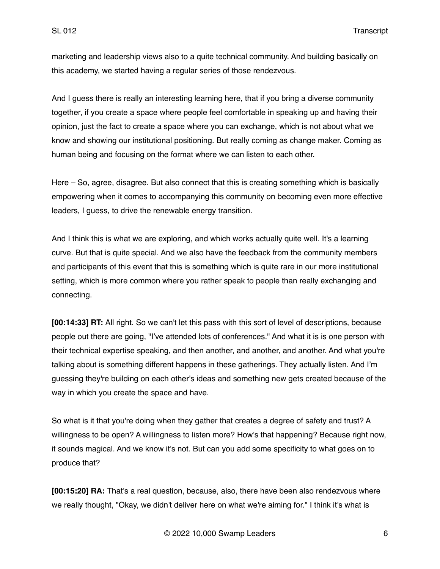marketing and leadership views also to a quite technical community. And building basically on this academy, we started having a regular series of those rendezvous.

And I guess there is really an interesting learning here, that if you bring a diverse community together, if you create a space where people feel comfortable in speaking up and having their opinion, just the fact to create a space where you can exchange, which is not about what we know and showing our institutional positioning. But really coming as change maker. Coming as human being and focusing on the format where we can listen to each other.

Here – So, agree, disagree. But also connect that this is creating something which is basically empowering when it comes to accompanying this community on becoming even more effective leaders, I guess, to drive the renewable energy transition.

And I think this is what we are exploring, and which works actually quite well. It's a learning curve. But that is quite special. And we also have the feedback from the community members and participants of this event that this is something which is quite rare in our more institutional setting, which is more common where you rather speak to people than really exchanging and connecting.

**[00:14:33] RT:** All right. So we can't let this pass with this sort of level of descriptions, because people out there are going, "I've attended lots of conferences." And what it is is one person with their technical expertise speaking, and then another, and another, and another. And what you're talking about is something different happens in these gatherings. They actually listen. And I'm guessing they're building on each other's ideas and something new gets created because of the way in which you create the space and have.

So what is it that you're doing when they gather that creates a degree of safety and trust? A willingness to be open? A willingness to listen more? How's that happening? Because right now, it sounds magical. And we know it's not. But can you add some specificity to what goes on to produce that?

**[00:15:20] RA:** That's a real question, because, also, there have been also rendezvous where we really thought, "Okay, we didn't deliver here on what we're aiming for." I think it's what is

© 2022 10,000 Swamp Leaders 6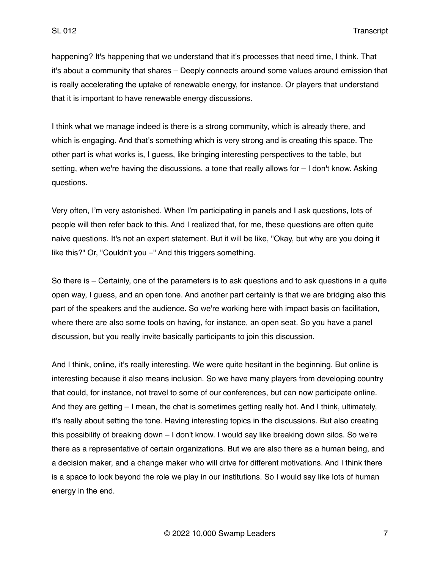happening? It's happening that we understand that it's processes that need time, I think. That it's about a community that shares – Deeply connects around some values around emission that is really accelerating the uptake of renewable energy, for instance. Or players that understand that it is important to have renewable energy discussions.

I think what we manage indeed is there is a strong community, which is already there, and which is engaging. And that's something which is very strong and is creating this space. The other part is what works is, I guess, like bringing interesting perspectives to the table, but setting, when we're having the discussions, a tone that really allows for – I don't know. Asking questions.

Very often, I'm very astonished. When I'm participating in panels and I ask questions, lots of people will then refer back to this. And I realized that, for me, these questions are often quite naive questions. It's not an expert statement. But it will be like, "Okay, but why are you doing it like this?" Or, "Couldn't you –" And this triggers something.

So there is – Certainly, one of the parameters is to ask questions and to ask questions in a quite open way, I guess, and an open tone. And another part certainly is that we are bridging also this part of the speakers and the audience. So we're working here with impact basis on facilitation, where there are also some tools on having, for instance, an open seat. So you have a panel discussion, but you really invite basically participants to join this discussion.

And I think, online, it's really interesting. We were quite hesitant in the beginning. But online is interesting because it also means inclusion. So we have many players from developing country that could, for instance, not travel to some of our conferences, but can now participate online. And they are getting – I mean, the chat is sometimes getting really hot. And I think, ultimately, it's really about setting the tone. Having interesting topics in the discussions. But also creating this possibility of breaking down – I don't know. I would say like breaking down silos. So we're there as a representative of certain organizations. But we are also there as a human being, and a decision maker, and a change maker who will drive for different motivations. And I think there is a space to look beyond the role we play in our institutions. So I would say like lots of human energy in the end.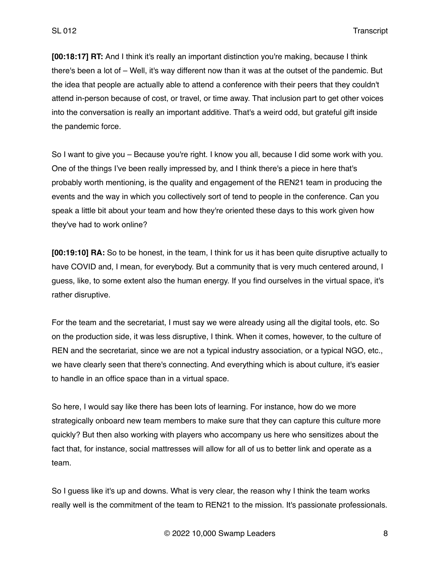**[00:18:17] RT:** And I think it's really an important distinction you're making, because I think there's been a lot of – Well, it's way different now than it was at the outset of the pandemic. But the idea that people are actually able to attend a conference with their peers that they couldn't attend in-person because of cost, or travel, or time away. That inclusion part to get other voices into the conversation is really an important additive. That's a weird odd, but grateful gift inside the pandemic force.

So I want to give you – Because you're right. I know you all, because I did some work with you. One of the things I've been really impressed by, and I think there's a piece in here that's probably worth mentioning, is the quality and engagement of the REN21 team in producing the events and the way in which you collectively sort of tend to people in the conference. Can you speak a little bit about your team and how they're oriented these days to this work given how they've had to work online?

**[00:19:10] RA:** So to be honest, in the team, I think for us it has been quite disruptive actually to have COVID and, I mean, for everybody. But a community that is very much centered around, I guess, like, to some extent also the human energy. If you find ourselves in the virtual space, it's rather disruptive.

For the team and the secretariat, I must say we were already using all the digital tools, etc. So on the production side, it was less disruptive, I think. When it comes, however, to the culture of REN and the secretariat, since we are not a typical industry association, or a typical NGO, etc., we have clearly seen that there's connecting. And everything which is about culture, it's easier to handle in an office space than in a virtual space.

So here, I would say like there has been lots of learning. For instance, how do we more strategically onboard new team members to make sure that they can capture this culture more quickly? But then also working with players who accompany us here who sensitizes about the fact that, for instance, social mattresses will allow for all of us to better link and operate as a team.

So I guess like it's up and downs. What is very clear, the reason why I think the team works really well is the commitment of the team to REN21 to the mission. It's passionate professionals.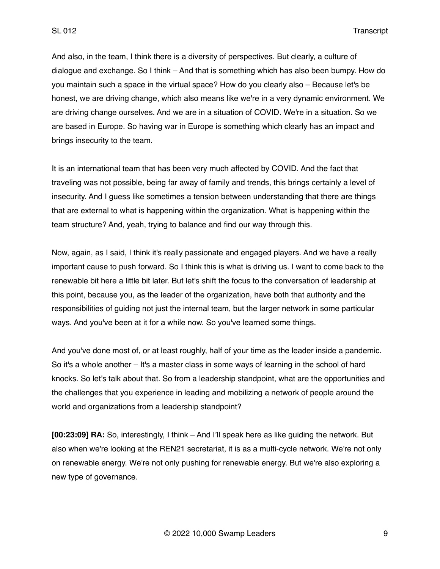And also, in the team, I think there is a diversity of perspectives. But clearly, a culture of dialogue and exchange. So I think – And that is something which has also been bumpy. How do you maintain such a space in the virtual space? How do you clearly also – Because let's be honest, we are driving change, which also means like we're in a very dynamic environment. We are driving change ourselves. And we are in a situation of COVID. We're in a situation. So we are based in Europe. So having war in Europe is something which clearly has an impact and brings insecurity to the team.

It is an international team that has been very much affected by COVID. And the fact that traveling was not possible, being far away of family and trends, this brings certainly a level of insecurity. And I guess like sometimes a tension between understanding that there are things that are external to what is happening within the organization. What is happening within the team structure? And, yeah, trying to balance and find our way through this.

Now, again, as I said, I think it's really passionate and engaged players. And we have a really important cause to push forward. So I think this is what is driving us. I want to come back to the renewable bit here a little bit later. But let's shift the focus to the conversation of leadership at this point, because you, as the leader of the organization, have both that authority and the responsibilities of guiding not just the internal team, but the larger network in some particular ways. And you've been at it for a while now. So you've learned some things.

And you've done most of, or at least roughly, half of your time as the leader inside a pandemic. So it's a whole another – It's a master class in some ways of learning in the school of hard knocks. So let's talk about that. So from a leadership standpoint, what are the opportunities and the challenges that you experience in leading and mobilizing a network of people around the world and organizations from a leadership standpoint?

**[00:23:09] RA:** So, interestingly, I think – And I'll speak here as like guiding the network. But also when we're looking at the REN21 secretariat, it is as a multi-cycle network. We're not only on renewable energy. We're not only pushing for renewable energy. But we're also exploring a new type of governance.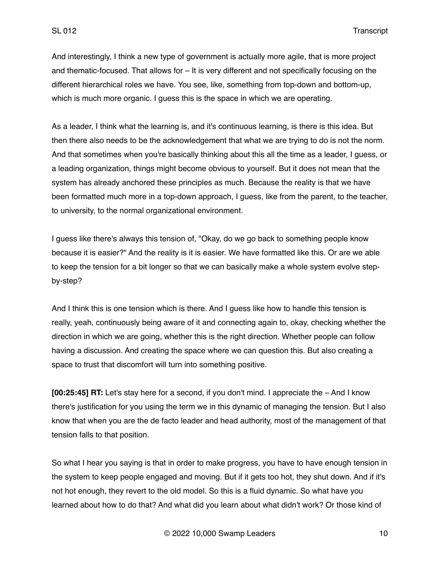And interestingly, I think a new type of government is actually more agile, that is more project and thematic-focused. That allows for – It is very different and not specifically focusing on the different hierarchical roles we have. You see, like, something from top-down and bottom-up, which is much more organic. I guess this is the space in which we are operating.

As a leader, I think what the learning is, and it's continuous learning, is there is this idea. But then there also needs to be the acknowledgement that what we are trying to do is not the norm. And that sometimes when you're basically thinking about this all the time as a leader, I guess, or a leading organization, things might become obvious to yourself. But it does not mean that the system has already anchored these principles as much. Because the reality is that we have been formatted much more in a top-down approach, I guess, like from the parent, to the teacher, to university, to the normal organizational environment.

I guess like there's always this tension of, "Okay, do we go back to something people know because it is easier?" And the reality is it is easier. We have formatted like this. Or are we able to keep the tension for a bit longer so that we can basically make a whole system evolve stepby-step?

And I think this is one tension which is there. And I guess like how to handle this tension is really, yeah, continuously being aware of it and connecting again to, okay, checking whether the direction in which we are going, whether this is the right direction. Whether people can follow having a discussion. And creating the space where we can question this. But also creating a space to trust that discomfort will turn into something positive.

**[00:25:45] RT:** Let's stay here for a second, if you don't mind. I appreciate the – And I know there's justification for you using the term we in this dynamic of managing the tension. But I also know that when you are the de facto leader and head authority, most of the management of that tension falls to that position.

So what I hear you saying is that in order to make progress, you have to have enough tension in the system to keep people engaged and moving. But if it gets too hot, they shut down. And if it's not hot enough, they revert to the old model. So this is a fluid dynamic. So what have you learned about how to do that? And what did you learn about what didn't work? Or those kind of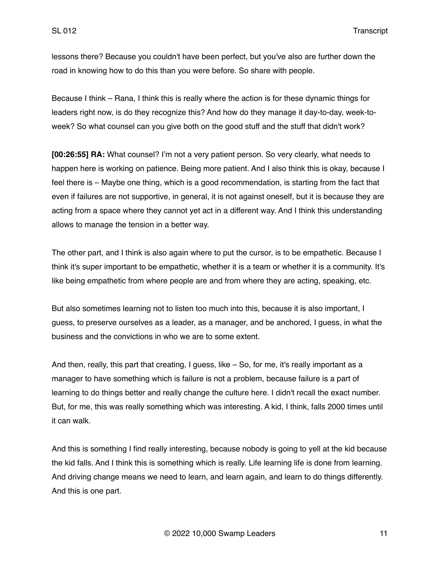lessons there? Because you couldn't have been perfect, but you've also are further down the road in knowing how to do this than you were before. So share with people.

Because I think – Rana, I think this is really where the action is for these dynamic things for leaders right now, is do they recognize this? And how do they manage it day-to-day, week-toweek? So what counsel can you give both on the good stuff and the stuff that didn't work?

**[00:26:55] RA:** What counsel? I'm not a very patient person. So very clearly, what needs to happen here is working on patience. Being more patient. And I also think this is okay, because I feel there is – Maybe one thing, which is a good recommendation, is starting from the fact that even if failures are not supportive, in general, it is not against oneself, but it is because they are acting from a space where they cannot yet act in a different way. And I think this understanding allows to manage the tension in a better way.

The other part, and I think is also again where to put the cursor, is to be empathetic. Because I think it's super important to be empathetic, whether it is a team or whether it is a community. It's like being empathetic from where people are and from where they are acting, speaking, etc.

But also sometimes learning not to listen too much into this, because it is also important, I guess, to preserve ourselves as a leader, as a manager, and be anchored, I guess, in what the business and the convictions in who we are to some extent.

And then, really, this part that creating, I guess, like – So, for me, it's really important as a manager to have something which is failure is not a problem, because failure is a part of learning to do things better and really change the culture here. I didn't recall the exact number. But, for me, this was really something which was interesting. A kid, I think, falls 2000 times until it can walk.

And this is something I find really interesting, because nobody is going to yell at the kid because the kid falls. And I think this is something which is really. Life learning life is done from learning. And driving change means we need to learn, and learn again, and learn to do things differently. And this is one part.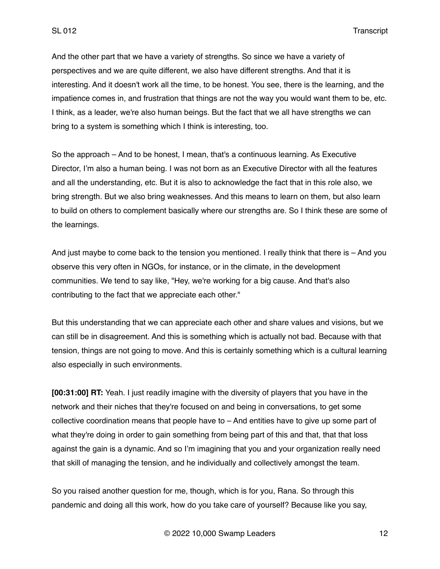And the other part that we have a variety of strengths. So since we have a variety of perspectives and we are quite different, we also have different strengths. And that it is interesting. And it doesn't work all the time, to be honest. You see, there is the learning, and the impatience comes in, and frustration that things are not the way you would want them to be, etc. I think, as a leader, we're also human beings. But the fact that we all have strengths we can bring to a system is something which I think is interesting, too.

So the approach – And to be honest, I mean, that's a continuous learning. As Executive Director, I'm also a human being. I was not born as an Executive Director with all the features and all the understanding, etc. But it is also to acknowledge the fact that in this role also, we bring strength. But we also bring weaknesses. And this means to learn on them, but also learn to build on others to complement basically where our strengths are. So I think these are some of the learnings.

And just maybe to come back to the tension you mentioned. I really think that there is – And you observe this very often in NGOs, for instance, or in the climate, in the development communities. We tend to say like, "Hey, we're working for a big cause. And that's also contributing to the fact that we appreciate each other."

But this understanding that we can appreciate each other and share values and visions, but we can still be in disagreement. And this is something which is actually not bad. Because with that tension, things are not going to move. And this is certainly something which is a cultural learning also especially in such environments.

**[00:31:00] RT:** Yeah. I just readily imagine with the diversity of players that you have in the network and their niches that they're focused on and being in conversations, to get some collective coordination means that people have to – And entities have to give up some part of what they're doing in order to gain something from being part of this and that, that that loss against the gain is a dynamic. And so I'm imagining that you and your organization really need that skill of managing the tension, and he individually and collectively amongst the team.

So you raised another question for me, though, which is for you, Rana. So through this pandemic and doing all this work, how do you take care of yourself? Because like you say,

© 2022 10,000 Swamp Leaders 12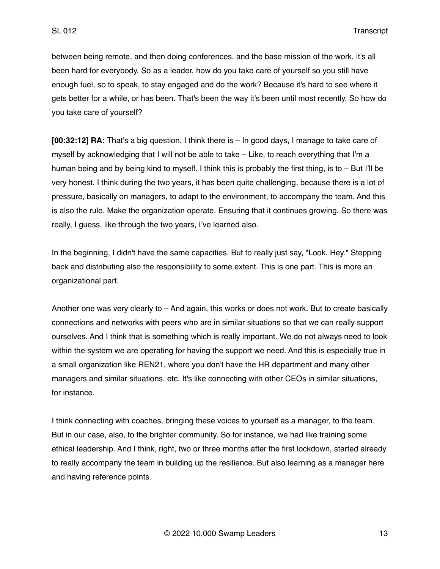between being remote, and then doing conferences, and the base mission of the work, it's all been hard for everybody. So as a leader, how do you take care of yourself so you still have enough fuel, so to speak, to stay engaged and do the work? Because it's hard to see where it gets better for a while, or has been. That's been the way it's been until most recently. So how do you take care of yourself?

**[00:32:12] RA:** That's a big question. I think there is – In good days, I manage to take care of myself by acknowledging that I will not be able to take – Like, to reach everything that I'm a human being and by being kind to myself. I think this is probably the first thing, is to – But I'll be very honest. I think during the two years, it has been quite challenging, because there is a lot of pressure, basically on managers, to adapt to the environment, to accompany the team. And this is also the rule. Make the organization operate. Ensuring that it continues growing. So there was really, I guess, like through the two years, I've learned also.

In the beginning, I didn't have the same capacities. But to really just say, "Look. Hey." Stepping back and distributing also the responsibility to some extent. This is one part. This is more an organizational part.

Another one was very clearly to – And again, this works or does not work. But to create basically connections and networks with peers who are in similar situations so that we can really support ourselves. And I think that is something which is really important. We do not always need to look within the system we are operating for having the support we need. And this is especially true in a small organization like REN21, where you don't have the HR department and many other managers and similar situations, etc. It's like connecting with other CEOs in similar situations, for instance.

I think connecting with coaches, bringing these voices to yourself as a manager, to the team. But in our case, also, to the brighter community. So for instance, we had like training some ethical leadership. And I think, right, two or three months after the first lockdown, started already to really accompany the team in building up the resilience. But also learning as a manager here and having reference points.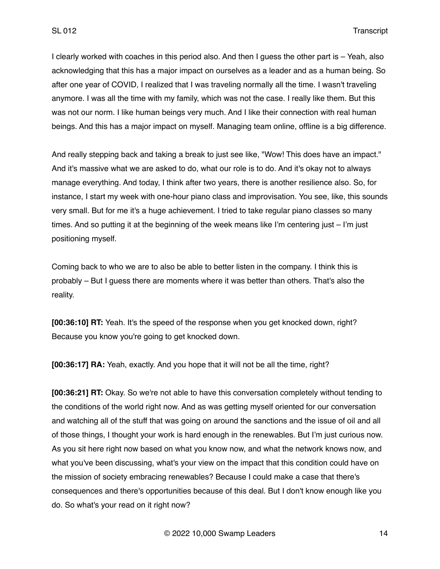I clearly worked with coaches in this period also. And then I guess the other part is – Yeah, also acknowledging that this has a major impact on ourselves as a leader and as a human being. So after one year of COVID, I realized that I was traveling normally all the time. I wasn't traveling anymore. I was all the time with my family, which was not the case. I really like them. But this was not our norm. I like human beings very much. And I like their connection with real human beings. And this has a major impact on myself. Managing team online, offline is a big difference.

And really stepping back and taking a break to just see like, "Wow! This does have an impact." And it's massive what we are asked to do, what our role is to do. And it's okay not to always manage everything. And today, I think after two years, there is another resilience also. So, for instance, I start my week with one-hour piano class and improvisation. You see, like, this sounds very small. But for me it's a huge achievement. I tried to take regular piano classes so many times. And so putting it at the beginning of the week means like I'm centering just – I'm just positioning myself.

Coming back to who we are to also be able to better listen in the company. I think this is probably – But I guess there are moments where it was better than others. That's also the reality.

**[00:36:10] RT:** Yeah. It's the speed of the response when you get knocked down, right? Because you know you're going to get knocked down.

**[00:36:17] RA:** Yeah, exactly. And you hope that it will not be all the time, right?

**[00:36:21] RT:** Okay. So we're not able to have this conversation completely without tending to the conditions of the world right now. And as was getting myself oriented for our conversation and watching all of the stuff that was going on around the sanctions and the issue of oil and all of those things, I thought your work is hard enough in the renewables. But I'm just curious now. As you sit here right now based on what you know now, and what the network knows now, and what you've been discussing, what's your view on the impact that this condition could have on the mission of society embracing renewables? Because I could make a case that there's consequences and there's opportunities because of this deal. But I don't know enough like you do. So what's your read on it right now?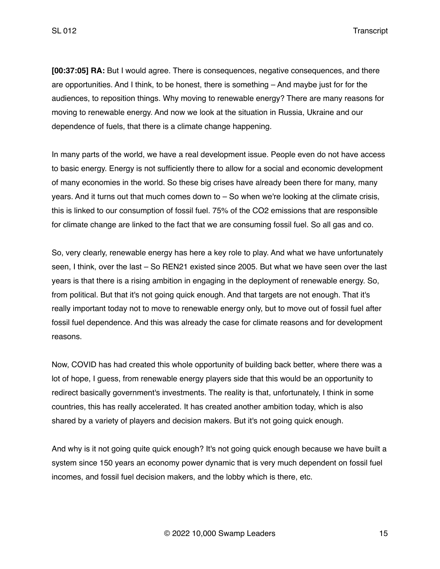**[00:37:05] RA:** But I would agree. There is consequences, negative consequences, and there are opportunities. And I think, to be honest, there is something – And maybe just for for the audiences, to reposition things. Why moving to renewable energy? There are many reasons for moving to renewable energy. And now we look at the situation in Russia, Ukraine and our dependence of fuels, that there is a climate change happening.

In many parts of the world, we have a real development issue. People even do not have access to basic energy. Energy is not sufficiently there to allow for a social and economic development of many economies in the world. So these big crises have already been there for many, many years. And it turns out that much comes down to – So when we're looking at the climate crisis, this is linked to our consumption of fossil fuel. 75% of the CO2 emissions that are responsible for climate change are linked to the fact that we are consuming fossil fuel. So all gas and co.

So, very clearly, renewable energy has here a key role to play. And what we have unfortunately seen, I think, over the last – So REN21 existed since 2005. But what we have seen over the last years is that there is a rising ambition in engaging in the deployment of renewable energy. So, from political. But that it's not going quick enough. And that targets are not enough. That it's really important today not to move to renewable energy only, but to move out of fossil fuel after fossil fuel dependence. And this was already the case for climate reasons and for development reasons.

Now, COVID has had created this whole opportunity of building back better, where there was a lot of hope, I guess, from renewable energy players side that this would be an opportunity to redirect basically government's investments. The reality is that, unfortunately, I think in some countries, this has really accelerated. It has created another ambition today, which is also shared by a variety of players and decision makers. But it's not going quick enough.

And why is it not going quite quick enough? It's not going quick enough because we have built a system since 150 years an economy power dynamic that is very much dependent on fossil fuel incomes, and fossil fuel decision makers, and the lobby which is there, etc.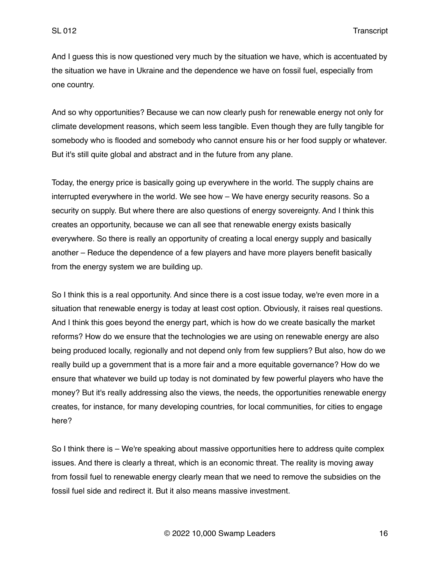And I guess this is now questioned very much by the situation we have, which is accentuated by the situation we have in Ukraine and the dependence we have on fossil fuel, especially from one country.

And so why opportunities? Because we can now clearly push for renewable energy not only for climate development reasons, which seem less tangible. Even though they are fully tangible for somebody who is flooded and somebody who cannot ensure his or her food supply or whatever. But it's still quite global and abstract and in the future from any plane.

Today, the energy price is basically going up everywhere in the world. The supply chains are interrupted everywhere in the world. We see how – We have energy security reasons. So a security on supply. But where there are also questions of energy sovereignty. And I think this creates an opportunity, because we can all see that renewable energy exists basically everywhere. So there is really an opportunity of creating a local energy supply and basically another – Reduce the dependence of a few players and have more players benefit basically from the energy system we are building up.

So I think this is a real opportunity. And since there is a cost issue today, we're even more in a situation that renewable energy is today at least cost option. Obviously, it raises real questions. And I think this goes beyond the energy part, which is how do we create basically the market reforms? How do we ensure that the technologies we are using on renewable energy are also being produced locally, regionally and not depend only from few suppliers? But also, how do we really build up a government that is a more fair and a more equitable governance? How do we ensure that whatever we build up today is not dominated by few powerful players who have the money? But it's really addressing also the views, the needs, the opportunities renewable energy creates, for instance, for many developing countries, for local communities, for cities to engage here?

So I think there is – We're speaking about massive opportunities here to address quite complex issues. And there is clearly a threat, which is an economic threat. The reality is moving away from fossil fuel to renewable energy clearly mean that we need to remove the subsidies on the fossil fuel side and redirect it. But it also means massive investment.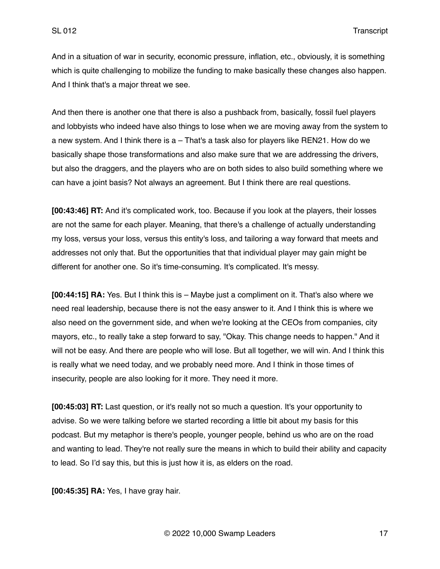And in a situation of war in security, economic pressure, inflation, etc., obviously, it is something which is quite challenging to mobilize the funding to make basically these changes also happen. And I think that's a major threat we see.

And then there is another one that there is also a pushback from, basically, fossil fuel players and lobbyists who indeed have also things to lose when we are moving away from the system to a new system. And I think there is a – That's a task also for players like REN21. How do we basically shape those transformations and also make sure that we are addressing the drivers, but also the draggers, and the players who are on both sides to also build something where we can have a joint basis? Not always an agreement. But I think there are real questions.

**[00:43:46] RT:** And it's complicated work, too. Because if you look at the players, their losses are not the same for each player. Meaning, that there's a challenge of actually understanding my loss, versus your loss, versus this entity's loss, and tailoring a way forward that meets and addresses not only that. But the opportunities that that individual player may gain might be different for another one. So it's time-consuming. It's complicated. It's messy.

**[00:44:15] RA:** Yes. But I think this is – Maybe just a compliment on it. That's also where we need real leadership, because there is not the easy answer to it. And I think this is where we also need on the government side, and when we're looking at the CEOs from companies, city mayors, etc., to really take a step forward to say, "Okay. This change needs to happen." And it will not be easy. And there are people who will lose. But all together, we will win. And I think this is really what we need today, and we probably need more. And I think in those times of insecurity, people are also looking for it more. They need it more.

**[00:45:03] RT:** Last question, or it's really not so much a question. It's your opportunity to advise. So we were talking before we started recording a little bit about my basis for this podcast. But my metaphor is there's people, younger people, behind us who are on the road and wanting to lead. They're not really sure the means in which to build their ability and capacity to lead. So I'd say this, but this is just how it is, as elders on the road.

**[00:45:35] RA:** Yes, I have gray hair.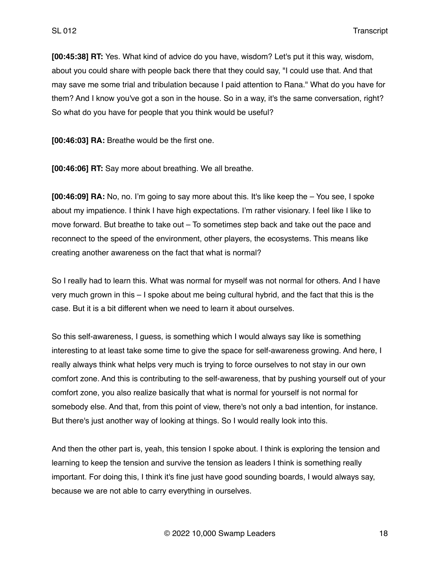**[00:45:38] RT:** Yes. What kind of advice do you have, wisdom? Let's put it this way, wisdom, about you could share with people back there that they could say, "I could use that. And that may save me some trial and tribulation because I paid attention to Rana." What do you have for them? And I know you've got a son in the house. So in a way, it's the same conversation, right? So what do you have for people that you think would be useful?

**[00:46:03] RA:** Breathe would be the first one.

**[00:46:06] RT:** Say more about breathing. We all breathe.

**[00:46:09] RA:** No, no. I'm going to say more about this. It's like keep the – You see, I spoke about my impatience. I think I have high expectations. I'm rather visionary. I feel like I like to move forward. But breathe to take out – To sometimes step back and take out the pace and reconnect to the speed of the environment, other players, the ecosystems. This means like creating another awareness on the fact that what is normal?

So I really had to learn this. What was normal for myself was not normal for others. And I have very much grown in this – I spoke about me being cultural hybrid, and the fact that this is the case. But it is a bit different when we need to learn it about ourselves.

So this self-awareness, I guess, is something which I would always say like is something interesting to at least take some time to give the space for self-awareness growing. And here, I really always think what helps very much is trying to force ourselves to not stay in our own comfort zone. And this is contributing to the self-awareness, that by pushing yourself out of your comfort zone, you also realize basically that what is normal for yourself is not normal for somebody else. And that, from this point of view, there's not only a bad intention, for instance. But there's just another way of looking at things. So I would really look into this.

And then the other part is, yeah, this tension I spoke about. I think is exploring the tension and learning to keep the tension and survive the tension as leaders I think is something really important. For doing this, I think it's fine just have good sounding boards, I would always say, because we are not able to carry everything in ourselves.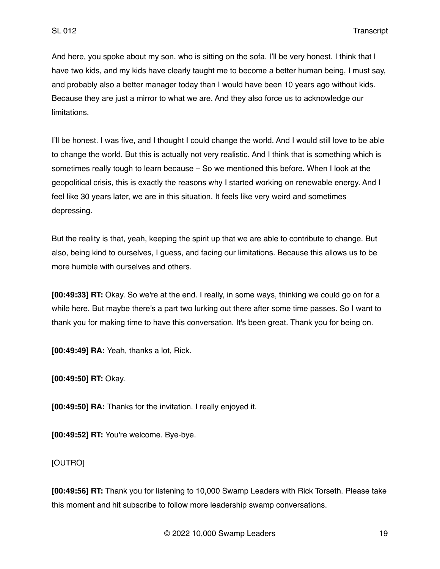And here, you spoke about my son, who is sitting on the sofa. I'll be very honest. I think that I have two kids, and my kids have clearly taught me to become a better human being, I must say, and probably also a better manager today than I would have been 10 years ago without kids. Because they are just a mirror to what we are. And they also force us to acknowledge our limitations.

I'll be honest. I was five, and I thought I could change the world. And I would still love to be able to change the world. But this is actually not very realistic. And I think that is something which is sometimes really tough to learn because – So we mentioned this before. When I look at the geopolitical crisis, this is exactly the reasons why I started working on renewable energy. And I feel like 30 years later, we are in this situation. It feels like very weird and sometimes depressing.

But the reality is that, yeah, keeping the spirit up that we are able to contribute to change. But also, being kind to ourselves, I guess, and facing our limitations. Because this allows us to be more humble with ourselves and others.

**[00:49:33] RT:** Okay. So we're at the end. I really, in some ways, thinking we could go on for a while here. But maybe there's a part two lurking out there after some time passes. So I want to thank you for making time to have this conversation. It's been great. Thank you for being on.

**[00:49:49] RA:** Yeah, thanks a lot, Rick.

**[00:49:50] RT:** Okay.

**[00:49:50] RA:** Thanks for the invitation. I really enjoyed it.

**[00:49:52] RT:** You're welcome. Bye-bye.

[OUTRO]

**[00:49:56] RT:** Thank you for listening to 10,000 Swamp Leaders with Rick Torseth. Please take this moment and hit subscribe to follow more leadership swamp conversations.

© 2022 10,000 Swamp Leaders 19